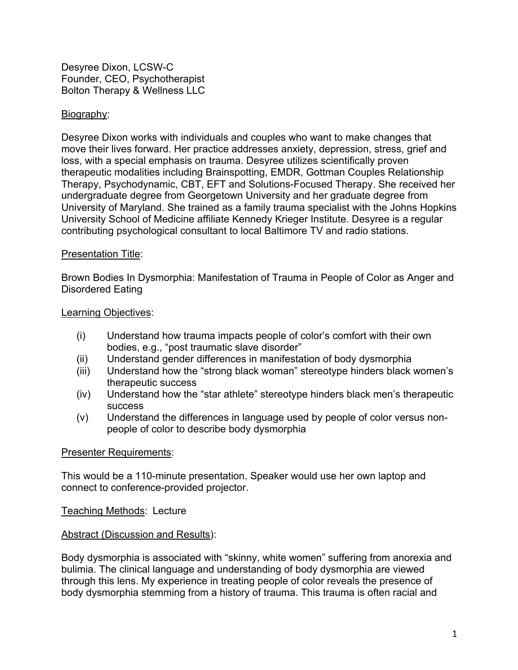Desyree Dixon, LCSW-C Founder, CEO, Psychotherapist Bolton Therapy & Wellness LLC

# Biography:

Desyree Dixon works with individuals and couples who want to make changes that move their lives forward. Her practice addresses anxiety, depression, stress, grief and loss, with a special emphasis on trauma. Desyree utilizes scientifically proven therapeutic modalities including Brainspotting, EMDR, Gottman Couples Relationship Therapy, Psychodynamic, CBT, EFT and Solutions-Focused Therapy. She received her undergraduate degree from Georgetown University and her graduate degree from University of Maryland. She trained as a family trauma specialist with the Johns Hopkins University School of Medicine affiliate Kennedy Krieger Institute. Desyree is a regular contributing psychological consultant to local Baltimore TV and radio stations.

# Presentation Title:

Brown Bodies In Dysmorphia: Manifestation of Trauma in People of Color as Anger and Disordered Eating

### Learning Objectives:

- (i) Understand how trauma impacts people of color's comfort with their own bodies, e.g., "post traumatic slave disorder"
- (ii) Understand gender differences in manifestation of body dysmorphia
- (iii) Understand how the "strong black woman" stereotype hinders black women's therapeutic success
- (iv) Understand how the "star athlete" stereotype hinders black men's therapeutic success
- (v) Understand the differences in language used by people of color versus nonpeople of color to describe body dysmorphia

## Presenter Requirements:

This would be a 110-minute presentation. Speaker would use her own laptop and connect to conference-provided projector.

Teaching Methods: Lecture

## Abstract (Discussion and Results):

Body dysmorphia is associated with "skinny, white women" suffering from anorexia and bulimia. The clinical language and understanding of body dysmorphia are viewed through this lens. My experience in treating people of color reveals the presence of body dysmorphia stemming from a history of trauma. This trauma is often racial and